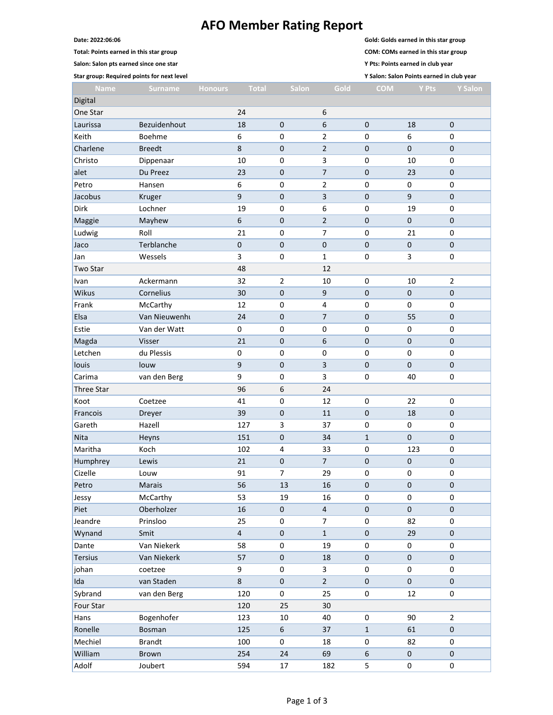## **AFO Member Rating Report**

**Total: Points earned in this star group COM: COMs earned in this star group**

**Salon: Salon pts earned since one star Y Pts: Points earned in club year**

**Date: 2022:06:06 Gold: Golds earned in this star group**

Hans Bogenhofer 123 10 40 0 90 2 Ronelle Bosman 125 6 37 1 61 0 Mechiel Brandt 100 0 18 0 82 0 William Brown 254 24 69 6 0 0 Adolf Joubert 594 17 182 5 0 0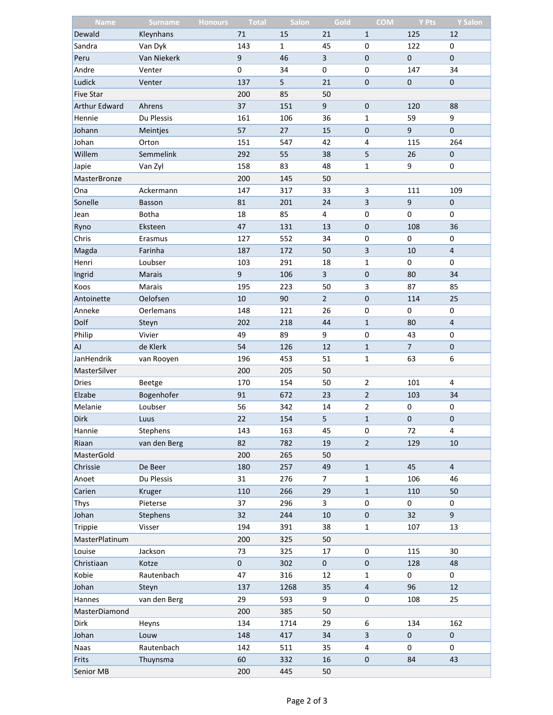| <b>Name</b>          | <b>Surname</b><br><b>Honours</b> | <b>Total</b> | Salon        | Gold           | <b>COM</b>              | <b>Y Pts</b>   | <b>Y Salon</b> |
|----------------------|----------------------------------|--------------|--------------|----------------|-------------------------|----------------|----------------|
| Dewald               | Kleynhans                        | 71           | 15           | 21             | $\mathbf{1}$            | 125            | 12             |
| Sandra               | Van Dyk                          | 143          | $\mathbf{1}$ | 45             | 0                       | 122            | 0              |
| Peru                 | Van Niekerk                      | $\mathsf g$  | 46           | $\overline{3}$ | $\pmb{0}$               | $\pmb{0}$      | $\pmb{0}$      |
| Andre                | Venter                           | $\mathsf 0$  | 34           | 0              | 0                       | 147            | 34             |
| Ludick               | Venter                           | 137          | 5            | 21             | $\mathbf 0$             | $\pmb{0}$      | $\pmb{0}$      |
| <b>Five Star</b>     |                                  | 200          | 85           | 50             |                         |                |                |
| <b>Arthur Edward</b> | Ahrens                           | 37           | 151          | 9              | $\pmb{0}$               | 120            | 88             |
| Hennie               | Du Plessis                       | 161          | 106          | 36             | 1                       | 59             | 9              |
| Johann               | Meintjes                         | 57           | 27           | 15             | $\pmb{0}$               | $\mathsf g$    | $\mathbf 0$    |
| Johan                | Orton                            | 151          | 547          | 42             | 4                       | 115            | 264            |
| Willem               | Semmelink                        | 292          | 55           | 38             | 5                       | 26             | $\pmb{0}$      |
| Japie                | Van Zyl                          | 158          | 83           | 48             | 1                       | 9              | $\pmb{0}$      |
| MasterBronze         |                                  | 200          | 145          | 50             |                         |                |                |
| Ona                  | Ackermann                        | 147          | 317          | 33             | $\mathsf 3$             | 111            | 109            |
| Sonelle              | Basson                           | 81           | 201          | 24             | $\mathsf 3$             | $\mathsf 9$    | $\pmb{0}$      |
| Jean                 | <b>Botha</b>                     | 18           | 85           | 4              | 0                       | 0              | 0              |
| Ryno                 | Eksteen                          | 47           | 131          | 13             | $\pmb{0}$               | 108            | 36             |
| Chris                | Erasmus                          | 127          | 552          | 34             | 0                       | 0              | $\pmb{0}$      |
| Magda                | Farinha                          | 187          | 172          | 50             | 3                       | 10             | $\overline{4}$ |
| Henri                | Loubser                          | 103          | 291          | 18             | 1                       | 0              | 0              |
| Ingrid               | Marais                           | $\mathsf 9$  | 106          | $\overline{3}$ | $\pmb{0}$               | 80             | 34             |
| Koos                 | Marais                           | 195          | 223          | 50             | 3                       | 87             | 85             |
| Antoinette           | Oelofsen                         | 10           | 90           | $\overline{2}$ | $\pmb{0}$               | 114            | 25             |
| Anneke               | Oerlemans                        | 148          | 121          | 26             | $\pmb{0}$               | 0              | $\pmb{0}$      |
| Dolf                 | Steyn                            | 202          | 218          | 44             | $\mathbf{1}$            | 80             | $\overline{4}$ |
| Philip               | Vivier                           | 49           | 89           | 9              | $\pmb{0}$               | 43             | $\pmb{0}$      |
| <b>AJ</b>            | de Klerk                         | 54           | 126          | 12             | $\mathbf{1}$            | $\overline{7}$ | $\pmb{0}$      |
| JanHendrik           | van Rooyen                       | 196          | 453          | 51             | 1                       | 63             | 6              |
| MasterSilver         |                                  | 200          | 205          | 50             |                         |                |                |
| <b>Dries</b>         | Beetge                           | 170          | 154          | 50             | $\overline{2}$          | 101            | 4              |
| Elzabe               | Bogenhofer                       | 91           | 672          | 23             | $\sqrt{2}$              | 103            | 34             |
| Melanie              | Loubser                          | 56           | 342          | 14             | 2                       | 0              | 0              |
| <b>Dirk</b>          | Luus                             | 22           | 154          | 5              | $\mathbf{1}$            | $\pmb{0}$      | $\mathbf 0$    |
| Hannie               | Stephens                         | 143          | 163          | 45             | 0                       | 72             | 4              |
| Riaan                | van den Berg                     | 82           | 782          | 19             | $\overline{2}$          | 129            | $10\,$         |
| MasterGold           |                                  | 200          | 265          | 50             |                         |                |                |
| Chrissie             | De Beer                          | 180          | 257          | 49             | $\mathbf{1}$            | 45             | $\overline{4}$ |
| Anoet                | Du Plessis                       | 31           | 276          | 7              | 1                       | 106            | 46             |
| Carien               | Kruger                           | 110          | 266          | 29             | $\mathbf{1}$            | 110            | 50             |
| Thys                 | Pieterse                         | 37           | 296          | 3              | $\pmb{0}$               | 0              | $\pmb{0}$      |
| Johan                | Stephens                         | 32           | 244          | 10             | $\pmb{0}$               | 32             | 9              |
| Trippie              |                                  | 194          | 391          | 38             | $\mathbf{1}$            | 107            | 13             |
|                      | Visser                           |              |              |                |                         |                |                |
| MasterPlatinum       |                                  | 200<br>73    | 325<br>325   | 50             |                         |                | 30             |
| Louise               | Jackson                          |              |              | 17             | 0                       | 115            |                |
| Christiaan           | Kotze                            | $\pmb{0}$    | 302          | $\pmb{0}$      | $\pmb{0}$               | 128            | 48             |
| Kobie                | Rautenbach                       | 47           | 316          | 12             | 1                       | 0              | 0              |
| Johan                | Steyn                            | 137          | 1268         | 35             | $\overline{\mathbf{4}}$ | 96             | 12             |
| Hannes               | van den Berg                     | 29           | 593          | 9              | 0                       | 108            | 25             |
| MasterDiamond        |                                  | 200          | 385          | 50             |                         |                |                |
| Dirk                 | Heyns                            | 134          | 1714         | 29             | 6                       | 134            | 162            |
| Johan                | Louw                             | 148          | 417          | 34             | $\overline{\mathbf{3}}$ | $\pmb{0}$      | $\pmb{0}$      |
| <b>Naas</b>          | Rautenbach                       | 142          | 511          | 35             | 4                       | 0              | 0              |
| Frits                | Thuynsma                         | 60           | 332          | 16             | $\pmb{0}$               | 84             | 43             |
| Senior MB            |                                  | 200          | 445          | 50             |                         |                |                |